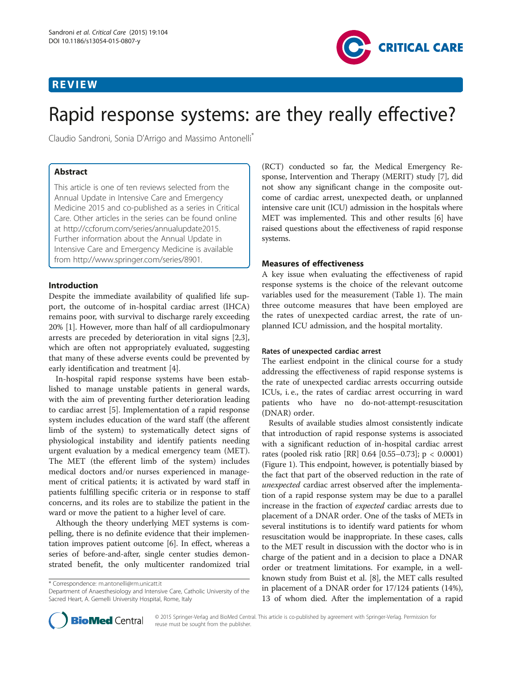# REVIEW



# Rapid response systems: are they really effective?

Claudio Sandroni, Sonia D'Arrigo and Massimo Antonelli\*

# Abstract

This article is one of ten reviews selected from the Annual Update in Intensive Care and Emergency Medicine 2015 and co-published as a series in Critical Care. Other articles in the series can be found online at [http://ccforum.com/series/annualupdate2015.](http://ccforum.com/series/annualupdate2015) Further information about the Annual Update in Intensive Care and Emergency Medicine is available from [http://www.springer.com/series/8901.](http://www.springer.com/series/8901)

# Introduction

Despite the immediate availability of qualified life support, the outcome of in-hospital cardiac arrest (IHCA) remains poor, with survival to discharge rarely exceeding 20% [\[1](#page-4-0)]. However, more than half of all cardiopulmonary arrests are preceded by deterioration in vital signs [\[2,3](#page-4-0)], which are often not appropriately evaluated, suggesting that many of these adverse events could be prevented by early identification and treatment [[4\]](#page-4-0).

In-hospital rapid response systems have been established to manage unstable patients in general wards, with the aim of preventing further deterioration leading to cardiac arrest [[5\]](#page-4-0). Implementation of a rapid response system includes education of the ward staff (the afferent limb of the system) to systematically detect signs of physiological instability and identify patients needing urgent evaluation by a medical emergency team (MET). The MET (the efferent limb of the system) includes medical doctors and/or nurses experienced in management of critical patients; it is activated by ward staff in patients fulfilling specific criteria or in response to staff concerns, and its roles are to stabilize the patient in the ward or move the patient to a higher level of care.

Although the theory underlying MET systems is compelling, there is no definite evidence that their implementation improves patient outcome [\[6\]](#page-4-0). In effect, whereas a series of before-and-after, single center studies demonstrated benefit, the only multicenter randomized trial (RCT) conducted so far, the Medical Emergency Response, Intervention and Therapy (MERIT) study [[7](#page-4-0)], did not show any significant change in the composite outcome of cardiac arrest, unexpected death, or unplanned intensive care unit (ICU) admission in the hospitals where MET was implemented. This and other results [\[6](#page-4-0)] have raised questions about the effectiveness of rapid response systems.

# Measures of effectiveness

A key issue when evaluating the effectiveness of rapid response systems is the choice of the relevant outcome variables used for the measurement (Table [1\)](#page-1-0). The main three outcome measures that have been employed are the rates of unexpected cardiac arrest, the rate of unplanned ICU admission, and the hospital mortality.

# Rates of unexpected cardiac arrest

The earliest endpoint in the clinical course for a study addressing the effectiveness of rapid response systems is the rate of unexpected cardiac arrests occurring outside ICUs, i. e., the rates of cardiac arrest occurring in ward patients who have no do-not-attempt-resuscitation (DNAR) order.

Results of available studies almost consistently indicate that introduction of rapid response systems is associated with a significant reduction of in-hospital cardiac arrest rates (pooled risk ratio [RR] 0.64 [0.55–0.73]; p < 0.0001) (Figure [1\)](#page-2-0). This endpoint, however, is potentially biased by the fact that part of the observed reduction in the rate of unexpected cardiac arrest observed after the implementation of a rapid response system may be due to a parallel increase in the fraction of expected cardiac arrests due to placement of a DNAR order. One of the tasks of METs in several institutions is to identify ward patients for whom resuscitation would be inappropriate. In these cases, calls to the MET result in discussion with the doctor who is in charge of the patient and in a decision to place a DNAR order or treatment limitations. For example, in a wellknown study from Buist et al. [\[8\]](#page-4-0), the MET calls resulted in placement of a DNAR order for 17/124 patients (14%), 13 of whom died. After the implementation of a rapid



<sup>\*</sup> Correspondence: [m.antonelli@rm.unicatt.it](mailto:m.antonelli@rm.unicatt.it)

Department of Anaesthesiology and Intensive Care, Catholic University of the Sacred Heart, A. Gemelli University Hospital, Rome, Italy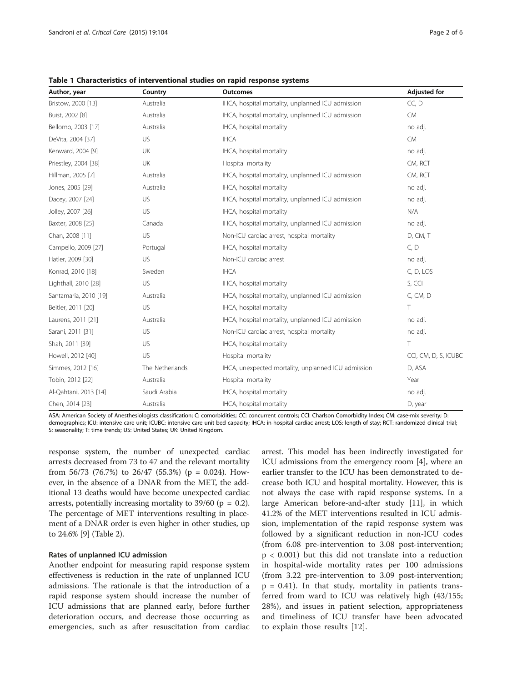| Author, year          | Country<br><b>Outcomes</b> |                                                     | <b>Adjusted for</b>  |  |
|-----------------------|----------------------------|-----------------------------------------------------|----------------------|--|
| Bristow, 2000 [13]    | Australia                  | IHCA, hospital mortality, unplanned ICU admission   | CC, D                |  |
| Buist, 2002 [8]       | Australia                  | IHCA, hospital mortality, unplanned ICU admission   | <b>CM</b>            |  |
| Bellomo, 2003 [17]    | Australia                  | IHCA, hospital mortality                            | no adj.              |  |
| DeVita, 2004 [37]     | US                         | <b>IHCA</b>                                         | <b>CM</b>            |  |
| Kenward, 2004 [9]     | UK                         | IHCA, hospital mortality                            | no adj.              |  |
| Priestley, 2004 [38]  | UK                         | Hospital mortality                                  | CM, RCT              |  |
| Hillman, 2005 [7]     | Australia                  | IHCA, hospital mortality, unplanned ICU admission   | CM, RCT              |  |
| Jones, 2005 [29]      | Australia                  | IHCA, hospital mortality                            | no adj.              |  |
| Dacey, 2007 [24]      | US                         | IHCA, hospital mortality, unplanned ICU admission   | no adj.              |  |
| Jolley, 2007 [26]     | US                         | IHCA, hospital mortality                            | N/A                  |  |
| Baxter, 2008 [25]     | Canada                     | IHCA, hospital mortality, unplanned ICU admission   | no adj.              |  |
| Chan, 2008 [11]       | US                         | Non-ICU cardiac arrest, hospital mortality          | D, CM, T             |  |
| Campello, 2009 [27]   | Portugal                   | IHCA, hospital mortality                            | C, D                 |  |
| Hatler, 2009 [30]     | US                         | Non-ICU cardiac arrest                              | no adj.              |  |
| Konrad, 2010 [18]     | Sweden                     | <b>IHCA</b>                                         | C, D, LOS            |  |
| Lighthall, 2010 [28]  | US                         | IHCA, hospital mortality                            | S, CCI               |  |
| Santamaria, 2010 [19] | Australia                  | IHCA, hospital mortality, unplanned ICU admission   | C, CM, D             |  |
| Beitler, 2011 [20]    | US                         | IHCA, hospital mortality                            | T                    |  |
| Laurens, 2011 [21]    | Australia                  | IHCA, hospital mortality, unplanned ICU admission   | no adj.              |  |
| Sarani, 2011 [31]     | US                         | Non-ICU cardiac arrest, hospital mortality          | no adj.              |  |
| Shah, 2011 [39]       | US                         | IHCA, hospital mortality                            | T                    |  |
| Howell, 2012 [40]     | US                         | Hospital mortality                                  | CCI, CM, D, S, ICUBC |  |
| Simmes, 2012 [16]     | The Netherlands            | IHCA, unexpected mortality, unplanned ICU admission | D, ASA               |  |
| Tobin, 2012 [22]      | Australia                  | Hospital mortality                                  | Year                 |  |
| Al-Qahtani, 2013 [14] | Saudi Arabia               | IHCA, hospital mortality                            | no adj.              |  |
| Chen, 2014 [23]       | Australia                  | IHCA, hospital mortality                            | D, year              |  |

<span id="page-1-0"></span>Table 1 Characteristics of interventional studies on rapid response systems

ASA: American Society of Anesthesiologists classification; C: comorbidities; CC: concurrent controls; CCI: Charlson Comorbidity Index; CM: case-mix severity; D: demographics; ICU: intensive care unit; ICUBC: intensive care unit bed capacity; IHCA: in-hospital cardiac arrest; LOS: length of stay; RCT: randomized clinical trial; S: seasonality; T: time trends; US: United States; UK: United Kingdom.

response system, the number of unexpected cardiac arrests decreased from 73 to 47 and the relevant mortality from 56/73 (76.7%) to 26/47 (55.3%) ( $p = 0.024$ ). However, in the absence of a DNAR from the MET, the additional 13 deaths would have become unexpected cardiac arrests, potentially increasing mortality to  $39/60$  (p = 0.2). The percentage of MET interventions resulting in placement of a DNAR order is even higher in other studies, up to 24.6% [\[9](#page-4-0)] (Table [2](#page-2-0)).

# Rates of unplanned ICU admission

Another endpoint for measuring rapid response system effectiveness is reduction in the rate of unplanned ICU admissions. The rationale is that the introduction of a rapid response system should increase the number of ICU admissions that are planned early, before further deterioration occurs, and decrease those occurring as emergencies, such as after resuscitation from cardiac

arrest. This model has been indirectly investigated for ICU admissions from the emergency room [[4](#page-4-0)], where an earlier transfer to the ICU has been demonstrated to decrease both ICU and hospital mortality. However, this is not always the case with rapid response systems. In a large American before-and-after study [\[11](#page-4-0)], in which 41.2% of the MET interventions resulted in ICU admission, implementation of the rapid response system was followed by a significant reduction in non-ICU codes (from 6.08 pre-intervention to 3.08 post-intervention; p < 0.001) but this did not translate into a reduction in hospital-wide mortality rates per 100 admissions (from 3.22 pre-intervention to 3.09 post-intervention;  $p = 0.41$ ). In that study, mortality in patients transferred from ward to ICU was relatively high (43/155; 28%), and issues in patient selection, appropriateness and timeliness of ICU transfer have been advocated to explain those results [[12\]](#page-4-0).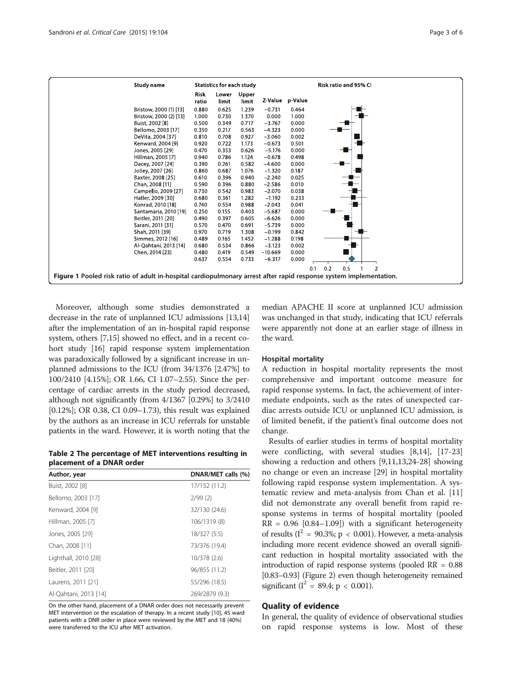<span id="page-2-0"></span>

| Study name                                                                                                         | <b>Statistics for each study</b> |                |                |           |                 | Risk ratio and 95% CI               |  |
|--------------------------------------------------------------------------------------------------------------------|----------------------------------|----------------|----------------|-----------|-----------------|-------------------------------------|--|
|                                                                                                                    | <b>Risk</b><br>ratio             | Lower<br>limit | Upper<br>limit |           | Z Value p Value |                                     |  |
| Bristow, 2000 (1) [13]                                                                                             | 0.880                            | 0.625          | 1.239          | $-0.731$  | 0.464           |                                     |  |
| Bristow, 2000 (2) [13]                                                                                             | 1.000                            | 0.730          | 1.370          | 0.000     | 1.000           |                                     |  |
| Buist, 2002 [8]                                                                                                    | 0.500                            | 0.349          | 0.717          | $-3.767$  | 0.000           |                                     |  |
| Bellomo, 2003 [17]                                                                                                 | 0.350                            | 0.217          | 0.563          | $-4.323$  | 0.000           |                                     |  |
| DeVita, 2004 [37]                                                                                                  | 0.810                            | 0.708          | 0.927          | $-3.060$  | 0.002           |                                     |  |
| Kenward, 2004 [9]                                                                                                  | 0.920                            | 0.722          | 1.173          | $-0.673$  | 0.501           |                                     |  |
| Jones, 2005 [29]                                                                                                   | 0.470                            | 0.353          | 0.626          | $-5.176$  | 0.000           |                                     |  |
| Hillman, 2005 [7]                                                                                                  | 0.940                            | 0.786          | 1.124          | $-0.678$  | 0.498           |                                     |  |
| Dacey, 2007 [24]                                                                                                   | 0.390                            | 0.261          | 0.582          | $-4.600$  | 0.000           |                                     |  |
| Jolley, 2007 [26]                                                                                                  | 0.860                            | 0.687          | 1.076          | $-1.320$  | 0.187           |                                     |  |
| Baxter, 2008 [25]                                                                                                  | 0.610                            | 0.396          | 0.940          | $-2.240$  | 0.025           |                                     |  |
| Chan, 2008 [11]                                                                                                    | 0.590                            | 0.396          | 0.880          | $-2.586$  | 0.010           |                                     |  |
| Campello, 2009 [27]                                                                                                | 0.730                            | 0.542          | 0.983          | $-2.070$  | 0.038           |                                     |  |
| Hatler, 2009 [30]                                                                                                  | 0.680                            | 0.361          | 1.282          | $-1.192$  | 0.233           |                                     |  |
| Konrad, 2010 [18]                                                                                                  | 0.740                            | 0.554          | 0.988          | $-2.043$  | 0.041           |                                     |  |
| Santamaria, 2010 [19]                                                                                              | 0.250                            | 0.155          | 0.403          | $-5.687$  | 0.000           |                                     |  |
| Beitler, 2011 [20]                                                                                                 | 0.490                            | 0.397          | 0.605          | $-6.626$  | 0.000           |                                     |  |
| Sarani, 2011 [31]                                                                                                  | 0.570                            | 0.470          | 0.691          | $-5.739$  | 0.000           |                                     |  |
| Shah, 2011 [39]                                                                                                    | 0.970                            | 0.719          | 1.308          | $-0.199$  | 0.842           |                                     |  |
| Simmes, 2012 [16]                                                                                                  | 0.489                            | 0.165          | 1.452          | $-1.288$  | 0.198           |                                     |  |
| Al-Qahtani, 2013 [14]                                                                                              | 0.680                            | 0.534          | 0.866          | $-3.123$  | 0.002           |                                     |  |
| Chen, 2014 [23]                                                                                                    | 0.480                            | 0.419          | 0.549          | $-10.669$ | 0.000           |                                     |  |
|                                                                                                                    | 0.637                            | 0.554          | 0.733          | $-6.317$  | 0.000           |                                     |  |
|                                                                                                                    |                                  |                |                |           |                 | 0.2<br>0.5<br>$\overline{2}$<br>0.1 |  |
| Figure 1 Pooled risk ratio of adult in-hospital cardiopulmonary arrest after rapid response system implementation. |                                  |                |                |           |                 |                                     |  |
|                                                                                                                    |                                  |                |                |           |                 |                                     |  |

Moreover, although some studies demonstrated a decrease in the rate of unplanned ICU admissions [\[13,14](#page-4-0)] after the implementation of an in-hospital rapid response system, others [[7,15](#page-4-0)] showed no effect, and in a recent cohort study [\[16\]](#page-4-0) rapid response system implementation was paradoxically followed by a significant increase in unplanned admissions to the ICU (from 34/1376 [2.47%] to 100/2410 [4.15%]; OR 1.66, CI 1.07–2.55). Since the percentage of cardiac arrests in the study period decreased, although not significantly (from 4/1367 [0.29%] to 3/2410 [0.12%]; OR 0.38, CI 0.09–1.73), this result was explained by the authors as an increase in ICU referrals for unstable patients in the ward. However, it is worth noting that the

Table 2 The percentage of MET interventions resulting in placement of a DNAR order

| Author, year          | DNAR/MET calls (%) |  |  |
|-----------------------|--------------------|--|--|
| Buist, 2002 [8]       | 17/152 (11.2)      |  |  |
| Bellomo, 2003 [17]    | 2/99(2)            |  |  |
| Kenward, 2004 [9]     | 32/130 (24.6)      |  |  |
| Hillman, 2005 [7]     | 106/1319 (8)       |  |  |
| Jones, 2005 [29]      | 18/327 (5.5)       |  |  |
| Chan, 2008 [11]       | 73/376 (19.4)      |  |  |
| Lighthall, 2010 [28]  | 10/378 (2.6)       |  |  |
| Beitler, 2011 [20]    | 96/855 (11.2)      |  |  |
| Laurens, 2011 [21]    | 55/296 (18.5)      |  |  |
| Al-Qahtani, 2013 [14] | 269/2879 (9.3)     |  |  |

On the other hand, placement of a DNAR order does not necessarily prevent MET intervention or the escalation of therapy. In a recent study [\[10](#page-4-0)], 45 ward patients with a DNR order in place were reviewed by the MET and 18 (40%) were transferred to the ICU after MET activation.

median APACHE II score at unplanned ICU admission was unchanged in that study, indicating that ICU referrals were apparently not done at an earlier stage of illness in the ward.

#### Hospital mortality

A reduction in hospital mortality represents the most comprehensive and important outcome measure for rapid response systems. In fact, the achievement of intermediate endpoints, such as the rates of unexpected cardiac arrests outside ICU or unplanned ICU admission, is of limited benefit, if the patient's final outcome does not change.

Results of earlier studies in terms of hospital mortality were conflicting, with several studies [\[8,14](#page-4-0)], [\[17](#page-4-0)-[23](#page-5-0)] showing a reduction and others [[9,11,13,](#page-4-0)[24-28](#page-5-0)] showing no change or even an increase [\[29\]](#page-5-0) in hospital mortality following rapid response system implementation. A systematic review and meta-analysis from Chan et al. [[11](#page-4-0)] did not demonstrate any overall benefit from rapid response systems in terms of hospital mortality (pooled  $RR = 0.96$  [0.84-1.09]) with a significant heterogeneity of results ( $I^2 = 90.3\%$ ; p < 0.001). However, a meta-analysis including more recent evidence showed an overall significant reduction in hospital mortality associated with the introduction of rapid response systems (pooled RR = 0.88 [0.83–0.93] (Figure [2](#page-3-0)) even though heterogeneity remained significant ( $I^2 = 89.4$ ; p < 0.001).

# Quality of evidence

In general, the quality of evidence of observational studies on rapid response systems is low. Most of these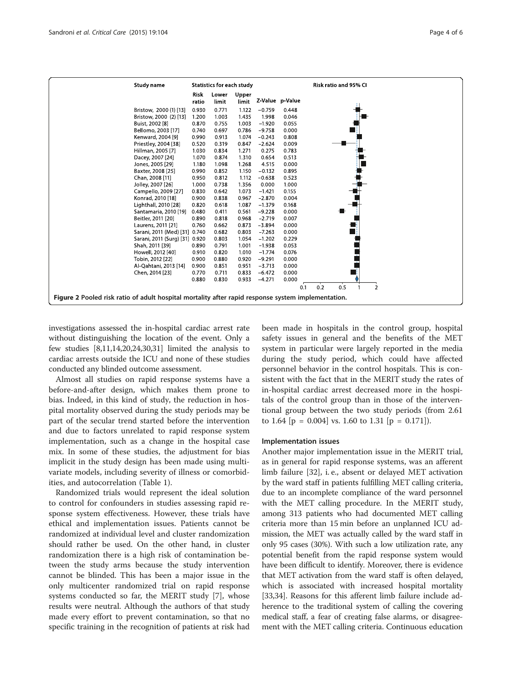<span id="page-3-0"></span>

investigations assessed the in-hospital cardiac arrest rate without distinguishing the location of the event. Only a few studies [[8,11,14](#page-4-0)[,20,24,30,31\]](#page-5-0) limited the analysis to cardiac arrests outside the ICU and none of these studies conducted any blinded outcome assessment.

Almost all studies on rapid response systems have a before-and-after design, which makes them prone to bias. Indeed, in this kind of study, the reduction in hospital mortality observed during the study periods may be part of the secular trend started before the intervention and due to factors unrelated to rapid response system implementation, such as a change in the hospital case mix. In some of these studies, the adjustment for bias implicit in the study design has been made using multivariate models, including severity of illness or comorbidities, and autocorrelation (Table [1](#page-1-0)).

Randomized trials would represent the ideal solution to control for confounders in studies assessing rapid response system effectiveness. However, these trials have ethical and implementation issues. Patients cannot be randomized at individual level and cluster randomization should rather be used. On the other hand, in cluster randomization there is a high risk of contamination between the study arms because the study intervention cannot be blinded. This has been a major issue in the only multicenter randomized trial on rapid response systems conducted so far, the MERIT study [\[7](#page-4-0)], whose results were neutral. Although the authors of that study made every effort to prevent contamination, so that no specific training in the recognition of patients at risk had been made in hospitals in the control group, hospital safety issues in general and the benefits of the MET system in particular were largely reported in the media during the study period, which could have affected personnel behavior in the control hospitals. This is consistent with the fact that in the MERIT study the rates of in-hospital cardiac arrest decreased more in the hospitals of the control group than in those of the interventional group between the two study periods (from 2.61 to 1.64  $[p = 0.004]$  vs. 1.60 to 1.31  $[p = 0.171]$ .

#### Implementation issues

Another major implementation issue in the MERIT trial, as in general for rapid response systems, was an afferent limb failure [[32\]](#page-5-0), i. e., absent or delayed MET activation by the ward staff in patients fulfilling MET calling criteria, due to an incomplete compliance of the ward personnel with the MET calling procedure. In the MERIT study, among 313 patients who had documented MET calling criteria more than 15 min before an unplanned ICU admission, the MET was actually called by the ward staff in only 95 cases (30%). With such a low utilization rate, any potential benefit from the rapid response system would have been difficult to identify. Moreover, there is evidence that MET activation from the ward staff is often delayed, which is associated with increased hospital mortality [[33](#page-5-0),[34](#page-5-0)]. Reasons for this afferent limb failure include adherence to the traditional system of calling the covering medical staff, a fear of creating false alarms, or disagreement with the MET calling criteria. Continuous education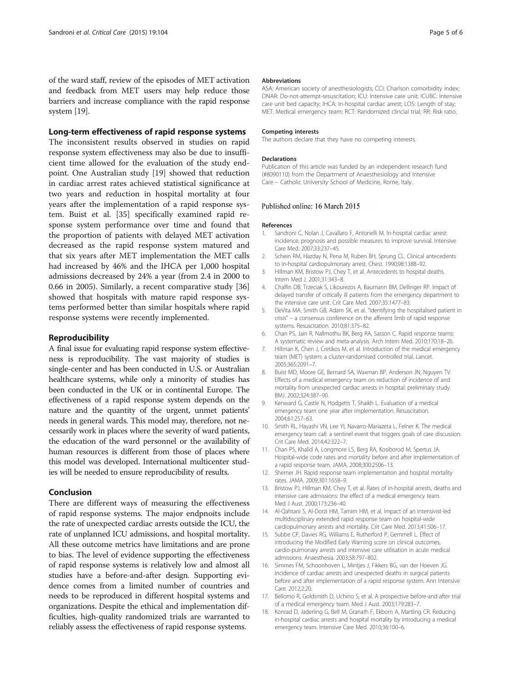<span id="page-4-0"></span>of the ward staff, review of the episodes of MET activation and feedback from MET users may help reduce those barriers and increase compliance with the rapid response system [[19](#page-5-0)].

### Long-term effectiveness of rapid response systems

The inconsistent results observed in studies on rapid response system effectiveness may also be due to insufficient time allowed for the evaluation of the study endpoint. One Australian study [\[19](#page-5-0)] showed that reduction in cardiac arrest rates achieved statistical significance at two years and reduction in hospital mortality at four years after the implementation of a rapid response system. Buist et al. [\[35](#page-5-0)] specifically examined rapid response system performance over time and found that the proportion of patients with delayed MET activation decreased as the rapid response system matured and that six years after MET implementation the MET calls had increased by 46% and the IHCA per 1,000 hospital admissions decreased by 24% a year (from 2.4 in 2000 to 0.66 in 2005). Similarly, a recent comparative study [[36](#page-5-0)] showed that hospitals with mature rapid response systems performed better than similar hospitals where rapid response systems were recently implemented.

## Reproducibility

A final issue for evaluating rapid response system effectiveness is reproducibility. The vast majority of studies is single-center and has been conducted in U.S. or Australian healthcare systems, while only a minority of studies has been conducted in the UK or in continental Europe. The effectiveness of a rapid response system depends on the nature and the quantity of the urgent, unmet patients' needs in general wards. This model may, therefore, not necessarily work in places where the severity of ward patients, the education of the ward personnel or the availability of human resources is different from those of places where this model was developed. International multicenter studies will be needed to ensure reproducibility of results.

# Conclusion

There are different ways of measuring the effectiveness of rapid response systems. The major endpnoits include the rate of unexpected cardiac arrests outside the ICU, the rate of unplanned ICU admissions, and hospital mortality. All these outcome metrics have limitations and are prone to bias. The level of evidence supporting the effectiveness of rapid response systems is relatively low and almost all studies have a before-and-after design. Supporting evidence comes from a limited number of countries and needs to be reproduced in different hospital systems and organizations. Despite the ethical and implementation difficulties, high-quality randomized trials are warranted to reliably assess the effectiveness of rapid response systems.

#### Abbreviations

ASA: American society of anesthesiologists; CCI: Charlson comorbidity index; DNAR: Do-not-attempt-resuscitation; ICU: Intensive care unit; ICUBC: Intensive care unit bed capacity; IHCA: In-hospital cardiac arrest; LOS: Length of stay; MET: Medical emergency team; RCT: Randomized clincial trial; RR: Risk ratio.

#### Competing interests

The authors declare that they have no competing interests.

#### Declarations

Publication of this article was funded by an independent research fund (#8090110) from the Department of Anaesthesiology and Intensive Care – Catholic University School of Medicine, Rome, Italy.

#### Published online: 16 March 2015

#### References

- 1. Sandroni C, Nolan J, Cavallaro F, Antonelli M. In-hospital cardiac arrest: incidence, prognosis and possible measures to improve survival. Intensive Care Med. 2007;33:237–45.
- 2. Schein RM, Hazday N, Pena M, Ruben BH, Sprung CL. Clinical antecedents to in-hospital cardiopulmonary arrest. Chest. 1990;98:1388–92.
- 3. Hillman KM, Bristow PJ, Chey T, et al. Antecedents to hospital deaths. Intern Med J. 2001;31:343–8.
- 4. Chalfin DB, Trzeciak S, Likourezos A, Baumann BM, Dellinger RP. Impact of delayed transfer of critically ill patients from the emergency department to the intensive care unit. Crit Care Med. 2007;35:1477–83.
- 5. DeVita MA, Smith GB, Adam SK, et al. "Identifying the hospitalised patient in crisis" – a consensus conference on the afferent limb of rapid response systems. Resuscitation. 2010;81:375–82.
- 6. Chan PS, Jain R, Nallmothu BK, Berg RA, Sasson C. Rapid response teams: A systematic review and meta-analysis. Arch Intern Med. 2010;170:18–26.
- 7. Hillman K, Chen J, Cretikos M, et al. Introduction of the medical emergency team (MET) system: a cluster-randomised controlled trial. Lancet. 2005;365:2091–7.
- 8. Buist MD, Moore GE, Bernard SA, Waxman BP, Anderson JN, Nguyen TV. Effects of a medical emergency team on reduction of incidence of and mortality from unexpected cardiac arrests in hospital: preliminary study. BMJ. 2002;324:387–90.
- 9. Kenward G, Castle N, Hodgetts T, Shaikh L. Evaluation of a medical emergency team one year after implementation. Resuscitation. 2004;61:257–63.
- 10. Smith RL, Hayashi VN, Lee YI, Navarro-Mariazeta L, Felner K. The medical emergency team call: a sentinel event that triggers goals of care discussion. Crit Care Med. 2014;42:322–7.
- 11. Chan PS, Khalid A, Longmore LS, Berg RA, Kosiborod M, Spertus JA. Hospital-wide code rates and mortality before and after implementation of a rapid response team. JAMA. 2008;300:2506–13.
- 12. Sherner JH. Rapid response team implementation and hospital mortality rates. JAMA. 2009;301:1658–9.
- 13. Bristow PJ, Hillman KM, Chey T, et al. Rates of in-hospital arrests, deaths and intensive care admissions: the effect of a medical emergency team. Med J Aust. 2000;173:236–40.
- 14. Al-Qahtani S, Al-Dorzi HM, Tamim HM, et al. Impact of an intensivist-led multidisciplinary extended rapid response team on hospital-wide cardiopulmonary arrests and mortality. Crit Care Med. 2013;41:506–17.
- 15. Subbe CP, Davies RG, Williams E, Rutherford P, Gemmell L. Effect of introducing the Modified Early Warning score on clinical outcomes, cardio-pulmonary arrests and intensive care utilisation in acute medical admissions. Anaesthesia. 2003;58:797–802.
- 16. Simmes FM, Schoonhoven L, Mintjes J, Fikkers BG, van der Hoeven JG. Incidence of cardiac arrests and unexpected deaths in surgical patients before and after implementation of a rapid response system. Ann Intensive Care. 2012;2:20.
- 17. Bellomo R, Goldsmith D, Uchino S, et al. A prospective before-and-after trial of a medical emergency team. Med J Aust. 2003;179:283–7.
- 18. Konrad D, Jaderling G, Bell M, Granath F, Ekbom A, Martling CR. Reducing in-hospital cardiac arrests and hospital mortality by introducing a medical emergency team. Intensive Care Med. 2010;36:100–6.